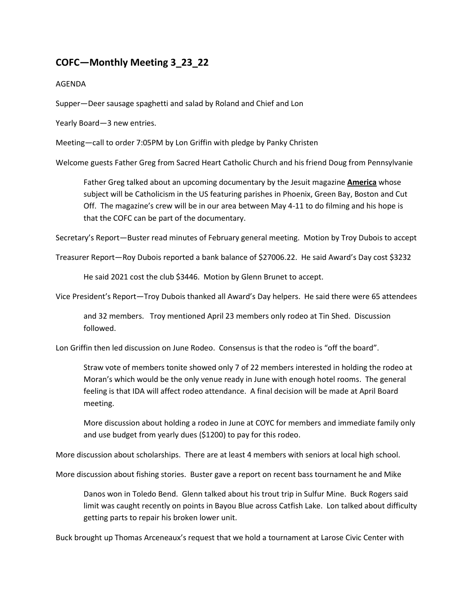## **COFC—Monthly Meeting 3\_23\_22**

## AGENDA

Supper—Deer sausage spaghetti and salad by Roland and Chief and Lon

Yearly Board—3 new entries.

Meeting—call to order 7:05PM by Lon Griffin with pledge by Panky Christen

Welcome guests Father Greg from Sacred Heart Catholic Church and his friend Doug from Pennsylvanie

Father Greg talked about an upcoming documentary by the Jesuit magazine **America** whose subject will be Catholicism in the US featuring parishes in Phoenix, Green Bay, Boston and Cut Off. The magazine's crew will be in our area between May 4-11 to do filming and his hope is that the COFC can be part of the documentary.

Secretary's Report—Buster read minutes of February general meeting. Motion by Troy Dubois to accept

Treasurer Report—Roy Dubois reported a bank balance of \$27006.22. He said Award's Day cost \$3232

He said 2021 cost the club \$3446. Motion by Glenn Brunet to accept.

Vice President's Report—Troy Dubois thanked all Award's Day helpers. He said there were 65 attendees

and 32 members. Troy mentioned April 23 members only rodeo at Tin Shed. Discussion followed.

Lon Griffin then led discussion on June Rodeo. Consensus is that the rodeo is "off the board".

Straw vote of members tonite showed only 7 of 22 members interested in holding the rodeo at Moran's which would be the only venue ready in June with enough hotel rooms. The general feeling is that IDA will affect rodeo attendance. A final decision will be made at April Board meeting.

More discussion about holding a rodeo in June at COYC for members and immediate family only and use budget from yearly dues (\$1200) to pay for this rodeo.

More discussion about scholarships. There are at least 4 members with seniors at local high school.

More discussion about fishing stories. Buster gave a report on recent bass tournament he and Mike

Danos won in Toledo Bend. Glenn talked about his trout trip in Sulfur Mine. Buck Rogers said limit was caught recently on points in Bayou Blue across Catfish Lake. Lon talked about difficulty getting parts to repair his broken lower unit.

Buck brought up Thomas Arceneaux's request that we hold a tournament at Larose Civic Center with